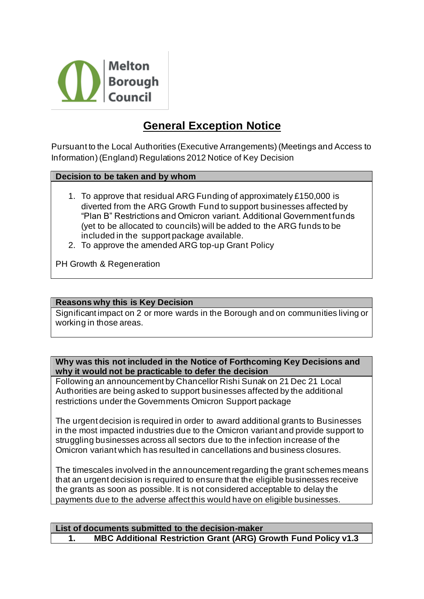

# **General Exception Notice**

Pursuant to the Local Authorities (Executive Arrangements) (Meetings and Access to Information) (England) Regulations 2012 Notice of Key Decision

### **Decision to be taken and by whom**

- 1. To approve that residual ARG Funding of approximately £150,000 is diverted from the ARG Growth Fund to support businesses affected by "Plan B" Restrictions and Omicron variant. Additional Government funds (yet to be allocated to councils) will be added to the ARG funds to be included in the support package available.
- 2. To approve the amended ARG top-up Grant Policy

PH Growth & Regeneration

### **Reasons why this is Key Decision**

Significant impact on 2 or more wards in the Borough and on communities living or working in those areas.

**Why was this not included in the Notice of Forthcoming Key Decisions and why it would not be practicable to defer the decision** 

Following an announcement by Chancellor Rishi Sunak on 21 Dec 21 Local Authorities are being asked to support businesses affected by the additional restrictions under the Governments Omicron Support package

The urgent decision is required in order to award additional grants to Businesses in the most impacted industries due to the Omicron variant and provide support to struggling businesses across all sectors due to the infection increase of the Omicron variant which has resulted in cancellations and business closures.

The timescales involved in the announcement regarding the grant schemes means that an urgent decision is required to ensure that the eligible businesses receive the grants as soon as possible. It is not considered acceptable to delay the payments due to the adverse affect this would have on eligible businesses.

### **List of documents submitted to the decision-maker 1. MBC Additional Restriction Grant (ARG) Growth Fund Policy v1.3**